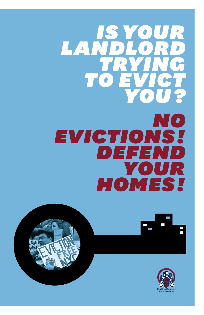# *is your LANDLORD trying to evict you ? no evictions ! defend your homes !*





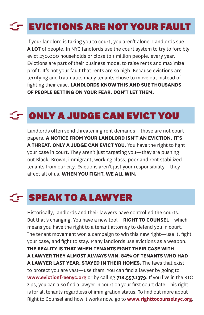### **EVICTIONS ARE NOT YOUR FAULT** F.

If your landlord is taking you to court, you aren't alone. Landlords sue **A LOT** of people. In NYC landlords use the court system to try to forcibly evict 230,000 households or close to 1 million people, every year. Evictions are part of their business model to raise rents and maximize profit. It's not your fault that rents are so high. Because evictions are terrifying and traumatic, many tenants chose to move out instead of fighting their case. **LANDLORDS KNOW THIS AND SUE THOUSANDS OF PEOPLE BETTING ON YOUR FEAR. DON'T LET THEM.**

## $\subset$  ONLY A JUDGE CAN EVICT YOU

Landlords often send threatening rent demands—those are not court papers. **A NOTICE FROM YOUR LANDLORD ISN'T AN EVICTION, IT'S A THREAT. ONLY A JUDGE CAN EVICT YOU.** You have the right to fight your case in court. They aren't just targeting you—they are pushing out Black, Brown, immigrant, working class, poor and rent stabilized tenants from our city. Evictions aren't just your responsibility—they affect all of us. **WHEN YOU FIGHT, WE ALL WIN.**

## **SPEAK TO A LAWYER**

Historically, landlords and their lawyers have controlled the courts. But that's changing. You have a new tool—**RIGHT TO COUNSEL**—which means you have the right to a tenant attorney to defend you in court. The tenant movement won a campaign to win this new right—use it, fight your case, and fight to stay. Many landlords use evictions as a weapon. **THE REALITY IS THAT WHEN TENANTS FIGHT THEIR CASE WITH A LAWYER THEY ALMOST ALWAYS WIN. 84% OF TENANTS WHO HAD A LAWYER LAST YEAR, STAYED IN THEIR HOMES.** The laws that exist to protect you are vast—use them! You can find a lawyer by going to **www.evictionfreenyc.org** or by calling **718.557.1379**. If you live in the RTC zips, you can also find a lawyer in court on your first court date. This right is for all tenants regardless of immigration status. To find out more about Right to Counsel and how it works now, go to **www.righttocounselnyc.org**.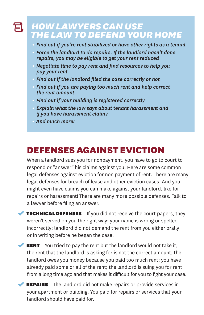#### *how lawyers can use*  FL *the law  to defend your home*

- **•**  *Find out if you're rent stabilized or have other rights as a tenant*
- Force the landlord to do repairs. If the landlord hasn't done *repairs, you may be eligible to get your rent reduced*
- **•** *Negotiate time to pay rent and find resources to help you pay your rent*
- **Find out if the landlord filed the case correctly or not**
- **•**  *Find out if you are paying too much rent and help correct the rent amount*
- **•**  *Find out if your building is registered correctly*
- **•** *Explain what the law says about tenant harassment and if you have harassment claims*
- **•** *And much more!*

## **defensesagainsteviction**

When a landlord sues you for nonpayment, you have to go to court to respond or "answer" his claims against you. Here are some common legal defenses against eviction for non payment of rent. There are many legal defenses for breach of lease and other eviction cases. And you might even have claims you can make against your landlord, like for repairs or harassment! There are many more possible defenses. Talk to a lawyer before filing an answer.

**TECHNICAL DEFENSES** If you did not receive the court papers, they weren't served on you the right way; your name is wrong or spelled incorrectly; landlord did not demand the rent from you either orally or in writing before he began the case.

**RENT** You tried to pay the rent but the landlord would not take it; the rent that the landlord is asking for is not the correct amount; the landlord owes you money because you paid too much rent; you have already paid some or all of the rent; the landlord is suing you for rent from a long time ago and that makes it difficult for you to fight your case.

REPAIRS The landlord did not make repairs or provide services in your apartment or building. You paid for repairs or services that your landlord should have paid for.